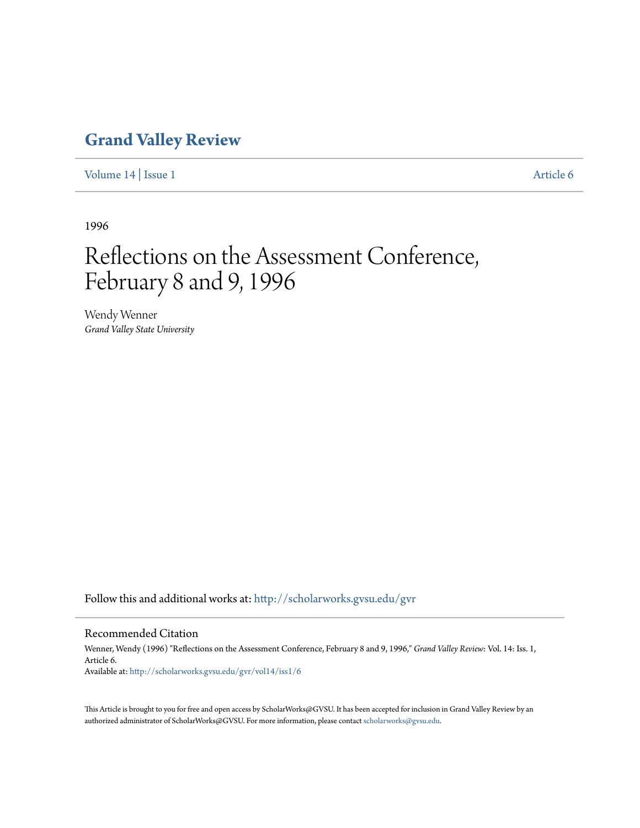## **[Grand Valley Review](http://scholarworks.gvsu.edu/gvr?utm_source=scholarworks.gvsu.edu%2Fgvr%2Fvol14%2Fiss1%2F6&utm_medium=PDF&utm_campaign=PDFCoverPages)**

[Volume 14](http://scholarworks.gvsu.edu/gvr/vol14?utm_source=scholarworks.gvsu.edu%2Fgvr%2Fvol14%2Fiss1%2F6&utm_medium=PDF&utm_campaign=PDFCoverPages) | [Issue 1](http://scholarworks.gvsu.edu/gvr/vol14/iss1?utm_source=scholarworks.gvsu.edu%2Fgvr%2Fvol14%2Fiss1%2F6&utm_medium=PDF&utm_campaign=PDFCoverPages) [Article 6](http://scholarworks.gvsu.edu/gvr/vol14/iss1/6?utm_source=scholarworks.gvsu.edu%2Fgvr%2Fvol14%2Fiss1%2F6&utm_medium=PDF&utm_campaign=PDFCoverPages)

1996

# Reflections on the Assessment Conference, February 8 and 9, 1996

Wendy Wenner *Grand Valley State University*

Follow this and additional works at: [http://scholarworks.gvsu.edu/gvr](http://scholarworks.gvsu.edu/gvr?utm_source=scholarworks.gvsu.edu%2Fgvr%2Fvol14%2Fiss1%2F6&utm_medium=PDF&utm_campaign=PDFCoverPages)

#### Recommended Citation

Wenner, Wendy (1996) "Reflections on the Assessment Conference, February 8 and 9, 1996," *Grand Valley Review*: Vol. 14: Iss. 1, Article 6. Available at: [http://scholarworks.gvsu.edu/gvr/vol14/iss1/6](http://scholarworks.gvsu.edu/gvr/vol14/iss1/6?utm_source=scholarworks.gvsu.edu%2Fgvr%2Fvol14%2Fiss1%2F6&utm_medium=PDF&utm_campaign=PDFCoverPages)

This Article is brought to you for free and open access by ScholarWorks@GVSU. It has been accepted for inclusion in Grand Valley Review by an authorized administrator of ScholarWorks@GVSU. For more information, please contact [scholarworks@gvsu.edu.](mailto:scholarworks@gvsu.edu)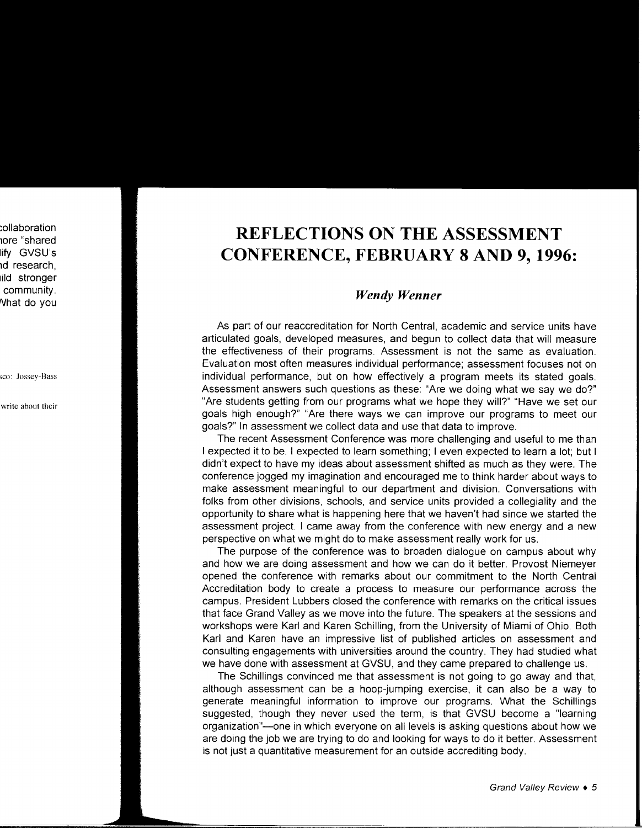## **REFLECTIONS ON THE ASSESSMENT CONFERENCE, FEBRUARY 8 AND 9, 1996:**

### *Wendy Wenner*

As part of our reaccreditation for North Central, academic and service units have articulated goals, developed measures, and begun to collect data that will measure the effectiveness of their programs. Assessment is not the same as evaluation. Evaluation most often measures individual performance; assessment focuses not on individual performance, but on how effectively a program meets its stated goals. Assessment answers such questions as these: "Are we doing what we say we do?" "Are students getting from our programs what we hope they will?" "Have we set our goals high enough?" "Are there ways we can improve our programs to meet our goals?" In assessment we collect data and use that data to improve.

The recent Assessment Conference was more challenging and useful to me than I expected it to be. I expected to learn something; I even expected to learn a lot; but I didn't expect to have my ideas about assessment shifted as much as they were. The conference jogged my imagination and encouraged me to think harder about ways to make assessment meaningful to our department and division. Conversations with folks from other divisions, schools, and service units provided a collegiality and the opportunity to share what is happening here that we haven't had since we started the assessment project. I came away from the conference with new energy and a new perspective on what we might do to make assessment really work for us.

The purpose of the conference was to broaden dialogue on campus about why and how we are doing assessment and how we can do it better. Provost Niemeyer opened the conference with remarks about our commitment to the North Central Accreditation body to create a process to measure our performance across the campus. President Lubbers closed the conference with remarks on the critical issues that face Grand Valley as we move into the future. The speakers at the sessions and workshops were Karl and Karen Schilling, from the University of Miami of Ohio. Both Karl and Karen have an impressive list of published articles on assessment and consulting engagements with universities around the country. They had studied what we have done with assessment at GVSU, and they came prepared to challenge us.

The Schillings convinced me that assessment is not going to go away and that, although assessment can be a hoop-jumping exercise, it can also be a way to generate meaningful information to improve our programs. What the Schillings suggested, though they never used the term, is that GVSU become a "learning organization"-one in which everyone on all levels is asking questions about how we are doing the job we are trying to do and looking for ways to do it better. Assessment is not just a quantitative measurement for an outside accrediting body.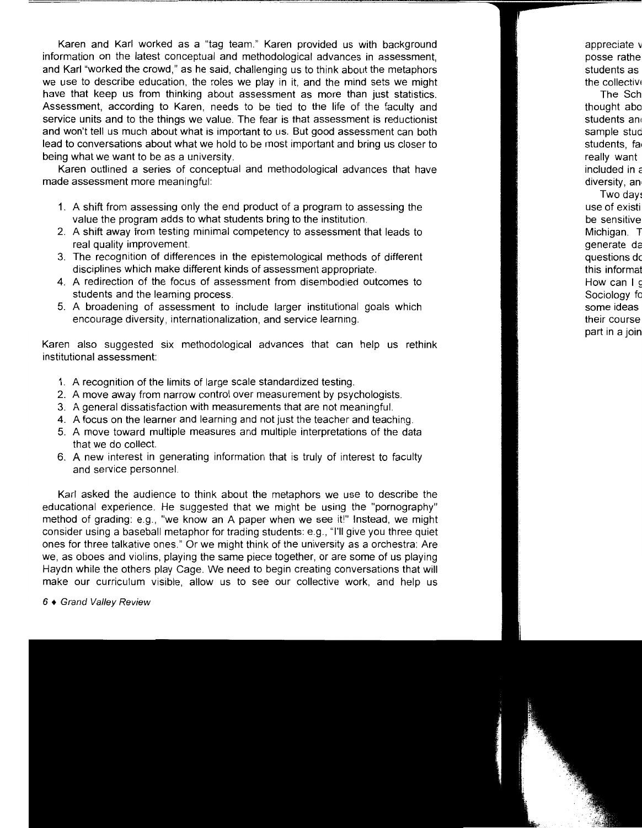Karen and Karl worked as a "tag team." Karen provided us with background information on the latest conceptual and methodological advances in assessment, and Karl "worked the crowd," as he said, challenging us to think about the metaphors we use to describe education, the roles we play in it, and the mind sets we might have that keep us from thinking about assessment as more than just statistics. Assessment, according to Karen, needs to be tied to the life of the faculty and service units and to the things we value. The fear is that assessment is reductionist and won't tell us much about what is important to us. But good assessment can both lead to conversations about what we hold to be most important and bring us closer to being what we want to be as a university.

Karen outlined a series of conceptual and methodological advances that have made assessment more meaningful:

- 1. A shift from assessing only the end product of a program to assessing the value the program adds to what students bring to the institution.
- 2. A shift away from testing minimal competency to assessment that leads to real quality improvement.
- 3. The recognition of differences in the epistemological methods of different disciplines which make different kinds of assessment appropriate.
- 4. A redirection of the focus of assessment from disembodied outcomes to students and the learning process.
- 5. A broadening of assessment to include larger institutional goals which encourage diversity, internationalization, and service learning.

Karen also suggested six methodological advances that can help us rethink institutional assessment:

- 1. A recognition of the limits of large scale standardized testing.
- 2. A move away from narrow control over measurement by psychologists.
- 3. A general dissatisfaction with measurements that are not meaningful.
- 4. A focus on the learner and learning and not just the teacher and teaching.
- 5. A move toward multiple measures and multiple interpretations of the data that we do collect.
- 6. A new interest in generating information that is truly of interest to faculty and service personnel.

Karl asked the audience to think about the metaphors we use to describe the educational experience. He suggested that we might be using the "pornography" method of grading: e.g., "we know an A paper when we see it!" Instead, we might consider using a baseball metaphor for trading students: e.g., "I'll give you three quiet ones for three talkative ones." Or we might think of the university as a orchestra: Are we, as oboes and violins, playing the same piece together, or are some of us playing Haydn while the others play Cage. We need to begin creating conversations that will make our curriculum visible, allow us to see our collective work, and help us